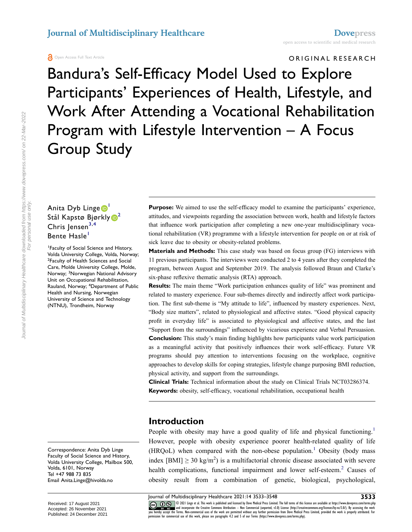#### **A** Open Access Full Text Article

Bandura's Self-Efficacy Model Used to Explore Participants' Experiences of Health, Lifestyle, and Work After Attending a Vocational Rehabilitation Program with Lifestyle Intervention – A Focus Group Study

# Anita Dyb Linge<sup>1</sup> Stål Kapstø Bjørkly <sup>2</sup> Chris Jensen<sup>[3](#page-0-2),[4](#page-0-3)</sup> Bente Hasle<sup>[1](#page-0-0)</sup> 1 Faculty of Social Science and History,

<span id="page-0-3"></span><span id="page-0-2"></span><span id="page-0-1"></span><span id="page-0-0"></span>Volda University College, Volda, Norway; <sup>2</sup> Faculty of Health Sciences and Social Care, Molde University College, Molde, Norway; <sup>3</sup>Norwegian National Advisory Unit on Occupational Rehabilitation, Rauland, Norway; <sup>4</sup> Department of Public Health and Nursing, Norwegian University of Science and Technology (NTNU), Trondheim, Norway

Correspondence: Anita Dyb Linge Faculty of Social Science and History, Volda University College, Mailbox 500, Volda, 6101, Norway Tel +47 988 73 835 Email [Anita.Linge@hivolda.no](mailto:Anita.Linge@hivolda.no)

**Purpose:** We aimed to use the self-efficacy model to examine the participants' experience, attitudes, and viewpoints regarding the association between work, health and lifestyle factors that influence work participation after completing a new one-year multidisciplinary vocational rehabilitation (VR) programme with a lifestyle intervention for people on or at risk of sick leave due to obesity or obesity-related problems.

**Materials and Methods:** This case study was based on focus group (FG) interviews with 11 previous participants. The interviews were conducted 2 to 4 years after they completed the program, between August and September 2019. The analysis followed Braun and Clarke's six-phase reflexive thematic analysis (RTA) approach.

**Results:** The main theme "Work participation enhances quality of life" was prominent and related to mastery experience. Four sub-themes directly and indirectly affect work participation. The first sub-theme is "My attitude to life", influenced by mastery experiences. Next, "Body size matters", related to physiological and affective states. "Good physical capacity profit in everyday life" is associated to physiological and affective states, and the last "Support from the surroundings" influenced by vicarious experience and Verbal Persuasion. **Conclusion:** This study's main finding highlights how participants value work participation as a meaningful activity that positively influences their work self-efficacy. Future VR programs should pay attention to interventions focusing on the workplace, cognitive approaches to develop skills for coping strategies, lifestyle change purposing BMI reduction, physical activity, and support from the surroundings.

**Clinical Trials:** Technical information about the study on Clinical Trials NCT03286374. **Keywords:** obesity, self-efficacy, vocational rehabilitation, occupational health

#### **Introduction**

<span id="page-0-5"></span><span id="page-0-4"></span>People with obesity may have a good quality of life and physical functioning.<sup>1</sup> However, people with obesity experience poorer health-related quality of life  $(HRQoL)$  when compared with the non-obese population.<sup>[1](#page-13-0)</sup> Obesity (body mass index  $[BMI] \ge 30 \text{ kg/m}^2$ ) is a multifactorial chronic disease associated with severe health complications, functional impairment and lower self-esteem.<sup>2</sup> Causes of obesity result from a combination of genetic, biological, psychological,

CO ON SO 2021 Linge et al. This work is published and licensed by Dove Medical Press Limited. The full terms of this license are available at https://www.dovepress.com/terms.php<br>you hereby accept the Terms. Non-commercial

Journal of Multidisciplinary Healthcare downloaded from https://www.dovepress.com/ on 22-Mar-2022<br>For personal use only. Journal of Multidisciplinary Healthcare downloaded from https://www.dovepress.com/ on 22-Mar-2022 For personal use only.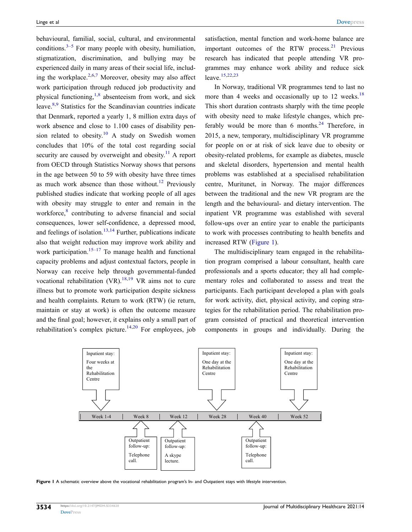<span id="page-1-7"></span><span id="page-1-6"></span><span id="page-1-5"></span><span id="page-1-4"></span><span id="page-1-2"></span><span id="page-1-1"></span>behavioural, familial, social, cultural, and environmental conditions. $3-5$  $3-5$  For many people with obesity, humiliation, stigmatization, discrimination, and bullying may be experienced daily in many areas of their social life, including the workplace. $2,6,7$  $2,6,7$  $2,6,7$  Moreover, obesity may also affect work participation through reduced job productivity and physical functioning, $1,8$  $1,8$  absenteeism from work, and sick leave.[8](#page-13-6)[,9](#page-13-7) Statistics for the Scandinavian countries indicate that Denmark, reported a yearly 1, 8 million extra days of work absence and close to 1.100 cases of disability pension related to obesity.<sup>10</sup> A study on Swedish women concludes that 10% of the total cost regarding social security are caused by overweight and obesity.<sup>11</sup> A report from OECD through Statistics Norway shows that persons in the age between 50 to 59 with obesity have three times as much work absence than those without.<sup>[12](#page-13-10)</sup> Previously published studies indicate that working people of all ages with obesity may struggle to enter and remain in the workforce,<sup>[8](#page-13-6)</sup> contributing to adverse financial and social consequences, lower self-confidence, a depressed mood, and feelings of isolation.<sup>[13](#page-13-11),[14](#page-13-12)</sup> Further, publications indicate also that weight reduction may improve work ability and work participation.<sup>15–[17](#page-13-14)</sup> To manage health and functional capacity problems and adjust contextual factors, people in Norway can receive help through governmental-funded vocational rehabilitation  $(VR)$ .<sup>[18](#page-14-0),19</sup> VR aims not to cure illness but to promote work participation despite sickness and health complaints. Return to work (RTW) (ie return, maintain or stay at work) is often the outcome measure and the final goal; however, it explains only a small part of rehabilitation's complex picture.<sup>[14](#page-13-12),20</sup> For employees, job <span id="page-1-13"></span>satisfaction, mental function and work-home balance are important outcomes of the RTW process. $21$  Previous research has indicated that people attending VR programmes may enhance work ability and reduce sick leave[.15,](#page-13-13)[22](#page-14-4)[,23](#page-14-5)

<span id="page-1-14"></span><span id="page-1-11"></span><span id="page-1-10"></span>In Norway, traditional VR programmes tend to last no more than 4 weeks and occasionally up to 12 weeks. $18$ This short duration contrasts sharply with the time people with obesity need to make lifestyle changes, which pre-ferably would be more than 6 months.<sup>[24](#page-14-6)</sup> Therefore, in 2015, a new, temporary, multidisciplinary VR programme for people on or at risk of sick leave due to obesity or obesity-related problems, for example as diabetes, muscle and skeletal disorders, hypertension and mental health problems was established at a specialised rehabilitation centre, Muritunet, in Norway. The major differences between the traditional and the new VR program are the length and the behavioural- and dietary intervention. The inpatient VR programme was established with several follow-ups over an entire year to enable the participants to work with processes contributing to health benefits and increased RTW [\(Figure 1](#page-1-0)).

The multidisciplinary team engaged in the rehabilitation program comprised a labour consultant, health care professionals and a sports educator; they all had complementary roles and collaborated to assess and treat the participants. Each participant developed a plan with goals for work activity, diet, physical activity, and coping strategies for the rehabilitation period. The rehabilitation program consisted of practical and theoretical intervention components in groups and individually. During the

<span id="page-1-12"></span><span id="page-1-9"></span><span id="page-1-8"></span><span id="page-1-3"></span><span id="page-1-0"></span>

Figure 1 A schematic overview above the vocational rehabilitation program's In- and Outpatient stays with lifestyle intervention.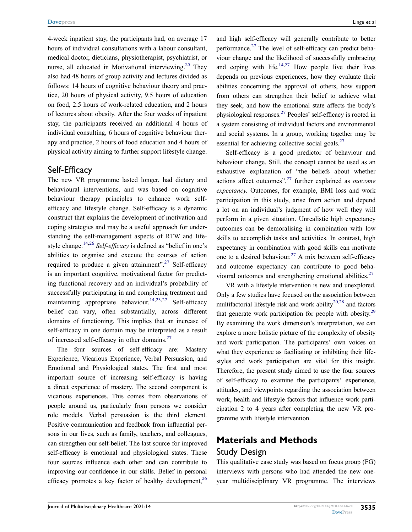<span id="page-2-0"></span>4-week inpatient stay, the participants had, on average 17 hours of individual consultations with a labour consultant, medical doctor, dieticians, physiotherapist, psychiatrist, or nurse, all educated in Motivational interviewing.<sup>25</sup> They also had 48 hours of group activity and lectures divided as follows: 14 hours of cognitive behaviour theory and practice, 20 hours of physical activity, 9.5 hours of education on food, 2.5 hours of work-related education, and 2 hours of lectures about obesity. After the four weeks of inpatient stay, the participants received an additional 4 hours of individual consulting, 6 hours of cognitive behaviour therapy and practice, 2 hours of food education and 4 hours of physical activity aiming to further support lifestyle change.

#### Self-Efficacy

The new VR programme lasted longer, had dietary and behavioural interventions, and was based on cognitive behaviour therapy principles to enhance work selfefficacy and lifestyle change. Self-efficacy is a dynamic construct that explains the development of motivation and coping strategies and may be a useful approach for understanding the self-management aspects of RTW and lifestyle change.[14,](#page-13-12)[26](#page-14-8) *Self-efficacy* is defined as "belief in one's abilities to organise and execute the courses of action required to produce a given attainment".<sup>27</sup> Self-efficacy is an important cognitive, motivational factor for predicting functional recovery and an individual's probability of successfully participating in and completing treatment and maintaining appropriate behaviour.<sup>14,[23](#page-14-5),27</sup> Self-efficacy belief can vary, often substantially, across different domains of functioning. This implies that an increase of self-efficacy in one domain may be interpreted as a result of increased self-efficacy in other domains.<sup>[27](#page-14-9)</sup>

<span id="page-2-1"></span>The four sources of self-efficacy are: Mastery Experience, Vicarious Experience, Verbal Persuasion, and Emotional and Physiological states. The first and most important source of increasing self-efficacy is having a direct experience of mastery. The second component is vicarious experiences. This comes from observations of people around us, particularly from persons we consider role models. Verbal persuasion is the third element. Positive communication and feedback from influential persons in our lives, such as family, teachers, and colleagues, can strengthen our self-belief. The last source for improved self-efficacy is emotional and physiological states. These four sources influence each other and can contribute to improving our confidence in our skills. Belief in personal efficacy promotes a key factor of healthy development,  $^{26}$ 

and high self-efficacy will generally contribute to better performance.[27](#page-14-9) The level of self-efficacy can predict behaviour change and the likelihood of successfully embracing and coping with life.<sup>14,27</sup> How people live their lives depends on previous experiences, how they evaluate their abilities concerning the approval of others, how support from others can strengthen their belief to achieve what they seek, and how the emotional state affects the body's physiological responses[.27](#page-14-9) Peoples' self-efficacy is rooted in a system consisting of individual factors and environmental and social systems. In a group, working together may be essential for achieving collective social goals.<sup>[27](#page-14-9)</sup>

Self-efficacy is a good predictor of behaviour and behaviour change. Still, the concept cannot be used as an exhaustive explanation of "the beliefs about whether actions affect outcomes"[,27](#page-14-9) further explained as *outcome expectancy*. Outcomes, for example, BMI loss and work participation in this study, arise from action and depend a lot on an individual's judgment of how well they will perform in a given situation. Unrealistic high expectancy outcomes can be demoralising in combination with low skills to accomplish tasks and activities. In contrast, high expectancy in combination with good skills can motivate one to a desired behaviour.<sup>27</sup> A mix between self-efficacy and outcome expectancy can contribute to good beha-vioural outcomes and strengthening emotional abilities.<sup>[27](#page-14-9)</sup>

<span id="page-2-4"></span><span id="page-2-3"></span><span id="page-2-2"></span>VR with a lifestyle intervention is new and unexplored. Only a few studies have focused on the association between multifactorial lifestyle risk and work ability $20,28$  and factors that generate work participation for people with obesity.<sup>29</sup> By examining the work dimension's interpretation, we can explore a more holistic picture of the complexity of obesity and work participation. The participants' own voices on what they experience as facilitating or inhibiting their lifestyles and work participation are vital for this insight. Therefore, the present study aimed to use the four sources of self-efficacy to examine the participants' experience, attitudes, and viewpoints regarding the association between work, health and lifestyle factors that influence work participation 2 to 4 years after completing the new VR programme with lifestyle intervention.

### **Materials and Methods** Study Design

This qualitative case study was based on focus group (FG) interviews with persons who had attended the new oneyear multidisciplinary VR programme. The interviews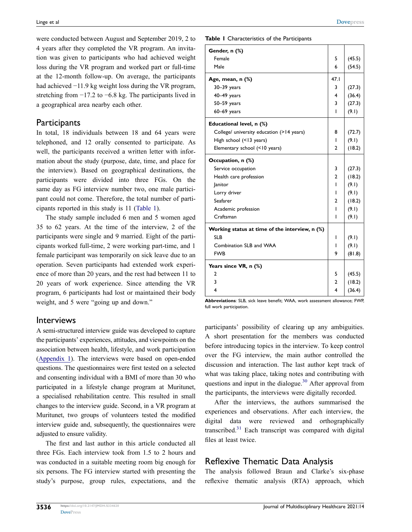were conducted between August and September 2019, 2 to 4 years after they completed the VR program. An invitation was given to participants who had achieved weight loss during the VR program and worked part or full-time at the 12-month follow-up. On average, the participants had achieved −11.9 kg weight loss during the VR program, stretching from −17.2 to −6.8 kg. The participants lived in a geographical area nearby each other.

### **Participants**

In total, 18 individuals between 18 and 64 years were telephoned, and 12 orally consented to participate. As well, the participants received a written letter with information about the study (purpose, date, time, and place for the interview). Based on geographical destinations, the participants were divided into three FGs. On the same day as FG interview number two, one male participant could not come. Therefore, the total number of participants reported in this study is 11 [\(Table 1\)](#page-3-0).

The study sample included 6 men and 5 women aged 35 to 62 years. At the time of the interview, 2 of the participants were single and 9 married. Eight of the participants worked full-time, 2 were working part-time, and 1 female participant was temporarily on sick leave due to an operation. Seven participants had extended work experience of more than 20 years, and the rest had between 11 to 20 years of work experience. Since attending the VR program, 6 participants had lost or maintained their body weight, and 5 were "going up and down."

#### Interviews

A semi-structured interview guide was developed to capture the participants' experiences, attitudes, and viewpoints on the association between health, lifestyle, and work participation [\(Appendix 1](https://www.dovepress.com/get_supplementary_file.php?f=334620.docx)). The interviews were based on open-ended questions. The questionnaires were first tested on a selected and consenting individual with a BMI of more than 30 who participated in a lifestyle change program at Muritunet, a specialised rehabilitation centre. This resulted in small changes to the interview guide. Second, in a VR program at Muritunet, two groups of volunteers tested the modified interview guide and, subsequently, the questionnaires were adjusted to ensure validity.

The first and last author in this article conducted all three FGs. Each interview took from 1.5 to 2 hours and was conducted in a suitable meeting room big enough for six persons. The FG interview started with presenting the study's purpose, group rules, expectations, and the <span id="page-3-0"></span>**Table 1** Characteristics of the Participants

| Gender, n (%)                                  |                |        |
|------------------------------------------------|----------------|--------|
| Female                                         | 5              | (45.5) |
| Male                                           | 6              | (54.5) |
| Age, mean, n (%)                               | 47.1           |        |
| $30-39$ years                                  | 3              | (27.3) |
| $40-49$ years                                  | 4              | (36.4) |
| $50 - 59$ years                                | 3              | (27.3) |
| $60-69$ years                                  | I              | (9.1)  |
| Educational level, n (%)                       |                |        |
| College/ university education (>14 years)      | 8              | (72.7) |
| High school (<13 years)                        | I              | (9.1)  |
| Elementary school (<10 years)                  | $\overline{2}$ | (18.2) |
| Occupation, n (%)                              |                |        |
| Service occupation                             | 3              | (27.3) |
| Health care profession                         | $\overline{2}$ | (18.2) |
| lanitor                                        | I              | (9.1)  |
| Lorry driver                                   | I              | (9.1)  |
| Seafarer                                       | 2              | (18.2) |
| Academic profession                            | ı              | (9.1)  |
| Craftsman                                      | ı              | (9.1)  |
| Working status at time of the interview, n (%) |                |        |
| <b>SLB</b>                                     | I              | (9.1)  |
| Combination SLB and WAA                        | I              | (9.1)  |
| <b>FWB</b>                                     | 9              | (81.8) |
| Years since VR, n (%)                          |                |        |
| 2                                              | 5              | (45.5) |
| 3                                              | $\overline{2}$ | (18.2) |
| 4                                              | 4              | (36.4) |

**Abbreviations**: SLB, sick leave benefit; WAA, work assessment allowance; FWP, full work participation.

participants' possibility of clearing up any ambiguities. A short presentation for the members was conducted before introducing topics in the interview. To keep control over the FG interview, the main author controlled the discussion and interaction. The last author kept track of what was taking place, taking notes and contributing with questions and input in the dialogue. $30$  After approval from the participants, the interviews were digitally recorded.

<span id="page-3-2"></span><span id="page-3-1"></span>After the interviews, the authors summarised the experiences and observations. After each interview, the digital data were reviewed and orthographically transcribed.[31](#page-14-13) Each transcript was compared with digital files at least twice.

### Reflexive Thematic Data Analysis

The analysis followed Braun and Clarke's six-phase reflexive thematic analysis (RTA) approach, which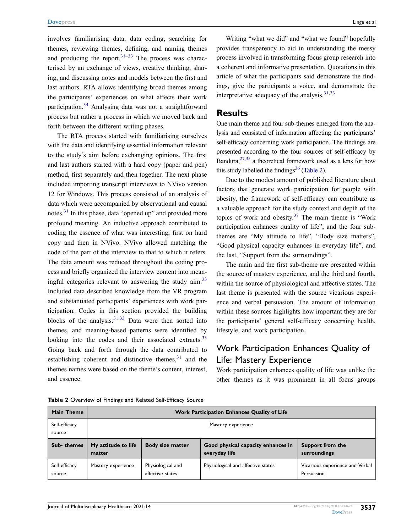involves familiarising data, data coding, searching for themes, reviewing themes, defining, and naming themes and producing the report. $31-33$  The process was characterised by an exchange of views, creative thinking, sharing, and discussing notes and models between the first and last authors. RTA allows identifying broad themes among the participants' experiences on what affects their work participation.<sup>34</sup> Analysing data was not a straightforward process but rather a process in which we moved back and forth between the different writing phases.

<span id="page-4-2"></span>The RTA process started with familiarising ourselves with the data and identifying essential information relevant to the study's aim before exchanging opinions. The first and last authors started with a hard copy (paper and pen) method, first separately and then together. The next phase included importing transcript interviews to NVivo version 12 for Windows. This process consisted of an analysis of data which were accompanied by observational and causal notes.<sup>[31](#page-14-13)</sup> In this phase, data "opened up" and provided more profound meaning. An inductive approach contributed to coding the essence of what was interesting, first on hard copy and then in NVivo. NVivo allowed matching the code of the part of the interview to that to which it refers. The data amount was reduced throughout the coding process and briefly organized the interview content into meaningful categories relevant to answering the study aim.<sup>33</sup> Included data described knowledge from the VR program and substantiated participants' experiences with work participation. Codes in this section provided the building blocks of the analysis. $31,33$  $31,33$  Data were then sorted into themes, and meaning-based patterns were identified by looking into the codes and their associated extracts.<sup>33</sup> Going back and forth through the data contributed to establishing coherent and distinctive themes, $31$  and the themes names were based on the theme's content, interest, and essence.

Writing "what we did" and "what we found" hopefully provides transparency to aid in understanding the messy process involved in transforming focus group research into a coherent and informative presentation. Quotations in this article of what the participants said demonstrate the findings, give the participants a voice, and demonstrate the interpretative adequacy of the analysis. $31,33$  $31,33$ 

#### <span id="page-4-1"></span>**Results**

One main theme and four sub-themes emerged from the analysis and consisted of information affecting the participants' self-efficacy concerning work participation. The findings are presented according to the four sources of self-efficacy by Bandura,  $27,35$  $27,35$  a theoretical framework used as a lens for how this study labelled the findings<sup>36</sup> [\(Table 2\)](#page-4-0).

<span id="page-4-5"></span><span id="page-4-4"></span><span id="page-4-3"></span>Due to the modest amount of published literature about factors that generate work participation for people with obesity, the framework of self-efficacy can contribute as a valuable approach for the study context and depth of the topics of work and obesity. $37$  The main theme is "Work participation enhances quality of life", and the four subthemes are "My attitude to life", "Body size matters", "Good physical capacity enhances in everyday life", and the last, "Support from the surroundings".

The main and the first sub-theme are presented within the source of mastery experience, and the third and fourth, within the source of physiological and affective states. The last theme is presented with the source vicarious experience and verbal persuasion. The amount of information within these sources highlights how important they are for the participants' general self-efficacy concerning health, lifestyle, and work participation.

### Work Participation Enhances Quality of Life: Mastery Experience

Work participation enhances quality of life was unlike the other themes as it was prominent in all focus groups

| <b>Main Theme</b>       | Work Participation Enhances Quality of Life |                                       |                                                     |                                               |  |
|-------------------------|---------------------------------------------|---------------------------------------|-----------------------------------------------------|-----------------------------------------------|--|
| Self-efficacy<br>source | Mastery experience                          |                                       |                                                     |                                               |  |
| Sub-themes              | My attitude to life<br>matter               | <b>Body size matter</b>               | Good physical capacity enhances in<br>everyday life | Support from the<br>surroundings              |  |
| Self-efficacy<br>source | Mastery experience                          | Physiological and<br>affective states | Physiological and affective states                  | Vicarious experience and Verbal<br>Persuasion |  |

<span id="page-4-0"></span>**Table 2** Overview of Findings and Related Self-Efficacy Source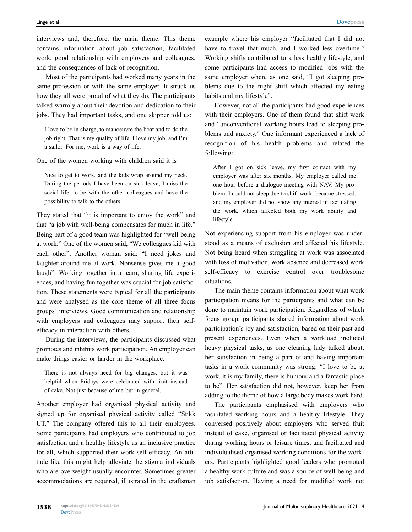interviews and, therefore, the main theme. This theme contains information about job satisfaction, facilitated work, good relationship with employers and colleagues, and the consequences of lack of recognition.

Most of the participants had worked many years in the same profession or with the same employer. It struck us how they all were proud of what they do. The participants talked warmly about their devotion and dedication to their jobs. They had important tasks, and one skipper told us:

I love to be in charge, to manoeuvre the boat and to do the job right. That is my quality of life. I love my job, and I'm a sailor. For me, work is a way of life.

One of the women working with children said it is

Nice to get to work, and the kids wrap around my neck. During the periods I have been on sick leave, I miss the social life, to be with the other colleagues and have the possibility to talk to the others.

They stated that "it is important to enjoy the work" and that "a job with well-being compensates for much in life." Being part of a good team was highlighted for "well-being at work." One of the women said, "We colleagues kid with each other". Another woman said: "I need jokes and laughter around me at work. Nonsense gives me a good laugh". Working together in a team, sharing life experiences, and having fun together was crucial for job satisfaction. These statements were typical for all the participants and were analysed as the core theme of all three focus groups' interviews. Good communication and relationship with employers and colleagues may support their selfefficacy in interaction with others.

During the interviews, the participants discussed what promotes and inhibits work participation. An employer can make things easier or harder in the workplace.

There is not always need for big changes, but it was helpful when Fridays were celebrated with fruit instead of cake. Not just because of me but in general.

Another employer had organised physical activity and signed up for organised physical activity called "Stikk UT." The company offered this to all their employees. Some participants had employers who contributed to job satisfaction and a healthy lifestyle as an inclusive practice for all, which supported their work self-efficacy. An attitude like this might help alleviate the stigma individuals who are overweight usually encounter. Sometimes greater accommodations are required, illustrated in the craftsman example where his employer "facilitated that I did not have to travel that much, and I worked less overtime." Working shifts contributed to a less healthy lifestyle, and some participants had access to modified jobs with the same employer when, as one said, "I got sleeping problems due to the night shift which affected my eating habits and my lifestyle".

However, not all the participants had good experiences with their employers. One of them found that shift work and "unconventional working hours lead to sleeping problems and anxiety." One informant experienced a lack of recognition of his health problems and related the following:

After I got on sick leave, my first contact with my employer was after six months. My employer called me one hour before a dialogue meeting with NAV. My problem, I could not sleep due to shift work, became stressed, and my employer did not show any interest in facilitating the work, which affected both my work ability and lifestyle.

Not experiencing support from his employer was understood as a means of exclusion and affected his lifestyle. Not being heard when struggling at work was associated with loss of motivation, work absence and decreased work self-efficacy to exercise control over troublesome situations.

The main theme contains information about what work participation means for the participants and what can be done to maintain work participation. Regardless of which focus group, participants shared information about work participation's joy and satisfaction, based on their past and present experiences. Even when a workload included heavy physical tasks, as one cleaning lady talked about, her satisfaction in being a part of and having important tasks in a work community was strong: "I love to be at work, it is my family, there is humour and a fantastic place to be". Her satisfaction did not, however, keep her from adding to the theme of how a large body makes work hard.

The participants emphasised with employers who facilitated working hours and a healthy lifestyle. They conversed positively about employers who served fruit instead of cake, organised or facilitated physical activity during working hours or leisure times, and facilitated and individualised organised working conditions for the workers. Participants highlighted good leaders who promoted a healthy work culture and was a source of well-being and job satisfaction. Having a need for modified work not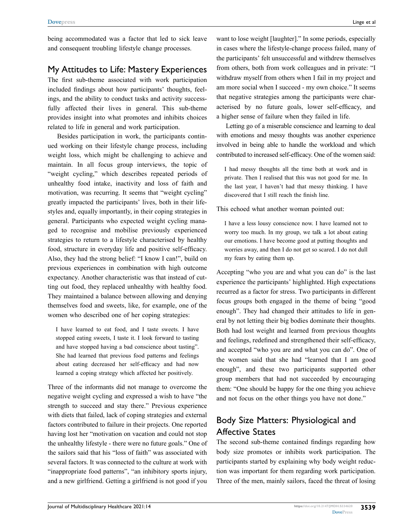being accommodated was a factor that led to sick leave and consequent troubling lifestyle change processes.

### My Attitudes to Life: Mastery Experiences

The first sub-theme associated with work participation included findings about how participants' thoughts, feelings, and the ability to conduct tasks and activity successfully affected their lives in general. This sub-theme provides insight into what promotes and inhibits choices related to life in general and work participation.

Besides participation in work, the participants continued working on their lifestyle change process, including weight loss, which might be challenging to achieve and maintain. In all focus group interviews, the topic of "weight cycling," which describes repeated periods of unhealthy food intake, inactivity and loss of faith and motivation, was recurring. It seems that "weight cycling" greatly impacted the participants' lives, both in their lifestyles and, equally importantly, in their coping strategies in general. Participants who expected weight cycling managed to recognise and mobilise previously experienced strategies to return to a lifestyle characterised by healthy food, structure in everyday life and positive self-efficacy. Also, they had the strong belief: "I know I can!", build on previous experiences in combination with high outcome expectancy. Another characteristic was that instead of cutting out food, they replaced unhealthy with healthy food. They maintained a balance between allowing and denying themselves food and sweets, like, for example, one of the women who described one of her coping strategies:

I have learned to eat food, and I taste sweets. I have stopped eating sweets, I taste it. I look forward to tasting and have stopped having a bad conscience about tasting". She had learned that previous food patterns and feelings about eating decreased her self-efficacy and had now learned a coping strategy which affected her positively.

Three of the informants did not manage to overcome the negative weight cycling and expressed a wish to have "the strength to succeed and stay there." Previous experience with diets that failed, lack of coping strategies and external factors contributed to failure in their projects. One reported having lost her "motivation on vacation and could not stop the unhealthy lifestyle - there were no future goals." One of the sailors said that his "loss of faith" was associated with several factors. It was connected to the culture at work with "inappropriate food patterns", "an inhibitory sports injury, and a new girlfriend. Getting a girlfriend is not good if you

want to lose weight [laughter]." In some periods, especially in cases where the lifestyle-change process failed, many of the participants' felt unsuccessful and withdrew themselves from others, both from work colleagues and in private: "I withdraw myself from others when I fail in my project and am more social when I succeed - my own choice." It seems that negative strategies among the participants were characterised by no future goals, lower self-efficacy, and a higher sense of failure when they failed in life.

Letting go of a miserable conscience and learning to deal with emotions and messy thoughts was another experience involved in being able to handle the workload and which contributed to increased self-efficacy. One of the women said:

I had messy thoughts all the time both at work and in private. Then I realised that this was not good for me. In the last year, I haven't had that messy thinking. I have discovered that I still reach the finish line.

This echoed what another woman pointed out:

I have a less lousy conscience now. I have learned not to worry too much. In my group, we talk a lot about eating our emotions. I have become good at putting thoughts and worries away, and then I do not get so scared. I do not dull my fears by eating them up.

Accepting "who you are and what you can do" is the last experience the participants' highlighted. High expectations recurred as a factor for stress. Two participants in different focus groups both engaged in the theme of being "good enough". They had changed their attitudes to life in general by not letting their big bodies dominate their thoughts. Both had lost weight and learned from previous thoughts and feelings, redefined and strengthened their self-efficacy, and accepted "who you are and what you can do". One of the women said that she had "learned that I am good enough", and these two participants supported other group members that had not succeeded by encouraging them: "One should be happy for the one thing you achieve and not focus on the other things you have not done."

### Body Size Matters: Physiological and Affective States

The second sub-theme contained findings regarding how body size promotes or inhibits work participation. The participants started by explaining why body weight reduction was important for them regarding work participation. Three of the men, mainly sailors, faced the threat of losing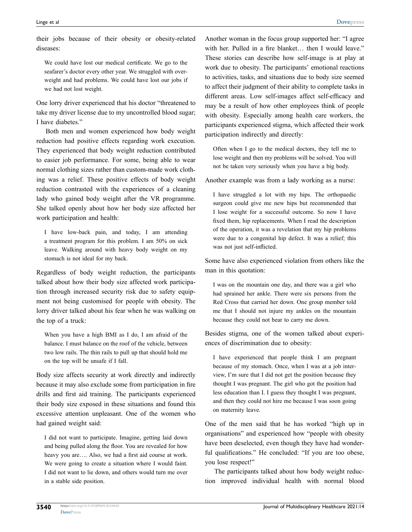their jobs because of their obesity or obesity-related diseases:

We could have lost our medical certificate. We go to the seafarer's doctor every other year. We struggled with overweight and had problems. We could have lost our jobs if we had not lost weight.

One lorry driver experienced that his doctor "threatened to take my driver license due to my uncontrolled blood sugar; I have diabetes."

Both men and women experienced how body weight reduction had positive effects regarding work execution. They experienced that body weight reduction contributed to easier job performance. For some, being able to wear normal clothing sizes rather than custom-made work clothing was a relief. These positive effects of body weight reduction contrasted with the experiences of a cleaning lady who gained body weight after the VR programme. She talked openly about how her body size affected her work participation and health:

I have low-back pain, and today, I am attending a treatment program for this problem. I am 50% on sick leave. Walking around with heavy body weight on my stomach is not ideal for my back.

Regardless of body weight reduction, the participants talked about how their body size affected work participation through increased security risk due to safety equipment not being customised for people with obesity. The lorry driver talked about his fear when he was walking on the top of a truck:

When you have a high BMI as I do, I am afraid of the balance. I must balance on the roof of the vehicle, between two low rails. The thin rails to pull up that should hold me on the top will be unsafe if I fall.

Body size affects security at work directly and indirectly because it may also exclude some from participation in fire drills and first aid training. The participants experienced their body size exposed in these situations and found this excessive attention unpleasant. One of the women who had gained weight said:

I did not want to participate. Imagine, getting laid down and being pulled along the floor. You are revealed for how heavy you are…. Also, we had a first aid course at work. We were going to create a situation where I would faint. I did not want to lie down, and others would turn me over in a stable side position.

Another woman in the focus group supported her: "I agree with her. Pulled in a fire blanket... then I would leave." These stories can describe how self-image is at play at work due to obesity. The participants' emotional reactions to activities, tasks, and situations due to body size seemed to affect their judgment of their ability to complete tasks in different areas. Low self-images affect self-efficacy and may be a result of how other employees think of people with obesity. Especially among health care workers, the participants experienced stigma, which affected their work participation indirectly and directly:

Often when I go to the medical doctors, they tell me to lose weight and then my problems will be solved. You will not be taken very seriously when you have a big body.

Another example was from a lady working as a nurse:

I have struggled a lot with my hips. The orthopaedic surgeon could give me new hips but recommended that I lose weight for a successful outcome. So now I have fixed them, hip replacements. When I read the description of the operation, it was a revelation that my hip problems were due to a congenital hip defect. It was a relief; this was not just self-inflicted.

Some have also experienced violation from others like the man in this quotation:

I was on the mountain one day, and there was a girl who had sprained her ankle. There were six persons from the Red Cross that carried her down. One group member told me that I should not injure my ankles on the mountain because they could not bear to carry me down.

Besides stigma, one of the women talked about experiences of discrimination due to obesity:

I have experienced that people think I am pregnant because of my stomach. Once, when I was at a job interview, I'm sure that I did not get the position because they thought I was pregnant. The girl who got the position had less education than I. I guess they thought I was pregnant, and then they could not hire me because I was soon going on maternity leave.

One of the men said that he has worked "high up in organisations" and experienced how "people with obesity have been deselected, even though they have had wonderful qualifications." He concluded: "If you are too obese, you lose respect!"

The participants talked about how body weight reduction improved individual health with normal blood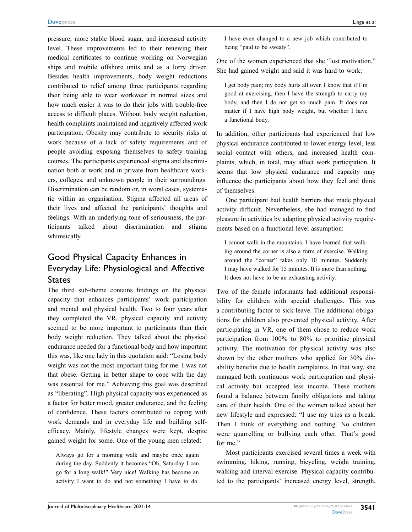pressure, more stable blood sugar, and increased activity level. These improvements led to their renewing their medical certificates to continue working on Norwegian ships and mobile offshore units and as a lorry driver. Besides health improvements, body weight reductions contributed to relief among three participants regarding their being able to wear workwear in normal sizes and how much easier it was to do their jobs with trouble-free access to difficult places. Without body weight reduction, health complaints maintained and negatively affected work participation. Obesity may contribute to security risks at work because of a lack of safety requirements and of people avoiding exposing themselves to safety training courses. The participants experienced stigma and discrimination both at work and in private from healthcare workers, colleges, and unknown people in their surroundings. Discrimination can be random or, in worst cases, systematic within an organisation. Stigma affected all areas of their lives and affected the participants' thoughts and feelings. With an underlying tone of seriousness, the participants talked about discrimination and stigma whimsically.

### Good Physical Capacity Enhances in Everyday Life: Physiological and Affective States

The third sub-theme contains findings on the physical capacity that enhances participants' work participation and mental and physical health. Two to four years after they completed the VR, physical capacity and activity seemed to be more important to participants than their body weight reduction. They talked about the physical endurance needed for a functional body and how important this was, like one lady in this quotation said: "Losing body weight was not the most important thing for me. I was not that obese. Getting in better shape to cope with the day was essential for me." Achieving this goal was described as "liberating". High physical capacity was experienced as a factor for better mood, greater endurance, and the feeling of confidence. These factors contributed to coping with work demands and in everyday life and building selfefficacy. Mainly, lifestyle changes were kept, despite gained weight for some. One of the young men related:

Always go for a morning walk and maybe once again during the day. Suddenly it becomes "Oh, Saturday I can go for a long walk!" Very nice! Walking has become an activity I want to do and not something I have to do.

I have even changed to a new job which contributed to being "paid to be sweaty".

One of the women experienced that she "lost motivation." She had gained weight and said it was hard to work:

I get body pain; my body hurts all over. I know that if I'm good at exercising, then I have the strength to carry my body, and then I do not get so much pain. It does not matter if I have high body weight, but whether I have a functional body.

In addition, other participants had experienced that low physical endurance contributed to lower energy level, less social contact with others, and increased health complaints, which, in total, may affect work participation. It seems that low physical endurance and capacity may influence the participants about how they feel and think of themselves.

One participant had health barriers that made physical activity difficult. Nevertheless, she had managed to find pleasure in activities by adapting physical activity requirements based on a functional level assumption:

I cannot walk in the mountains. I have learned that walking around the corner is also a form of exercise. Walking around the "corner" takes only 10 minutes. Suddenly I may have walked for 15 minutes. It is more than nothing. It does not have to be an exhausting activity.

Two of the female informants had additional responsibility for children with special challenges. This was a contributing factor to sick leave. The additional obligations for children also prevented physical activity. After participating in VR, one of them chose to reduce work participation from 100% to 80% to prioritise physical activity. The motivation for physical activity was also shown by the other mothers who applied for 30% disability benefits due to health complaints. In that way, she managed both continuous work participation and physical activity but accepted less income. These mothers found a balance between family obligations and taking care of their health. One of the women talked about her new lifestyle and expressed: "I use my trips as a break. Then I think of everything and nothing. No children were quarrelling or bullying each other. That's good for me."

Most participants exercised several times a week with swimming, hiking, running, bicycling, weight training, walking and interval exercise. Physical capacity contributed to the participants' increased energy level, strength,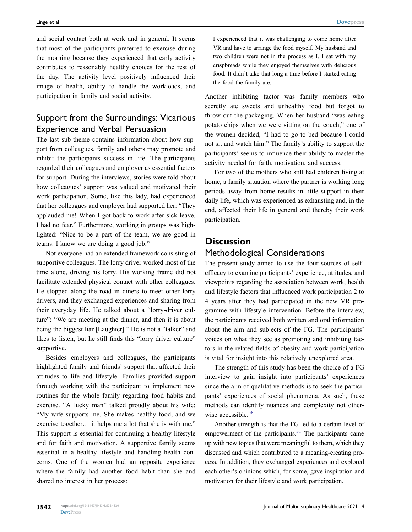and social contact both at work and in general. It seems that most of the participants preferred to exercise during the morning because they experienced that early activity contributes to reasonably healthy choices for the rest of the day. The activity level positively influenced their image of health, ability to handle the workloads, and participation in family and social activity.

### Support from the Surroundings: Vicarious Experience and Verbal Persuasion

The last sub-theme contains information about how support from colleagues, family and others may promote and inhibit the participants success in life. The participants regarded their colleagues and employer as essential factors for support. During the interviews, stories were told about how colleagues' support was valued and motivated their work participation. Some, like this lady, had experienced that her colleagues and employer had supported her: "They applauded me! When I got back to work after sick leave, I had no fear." Furthermore, working in groups was highlighted: "Nice to be a part of the team, we are good in teams. I know we are doing a good job."

Not everyone had an extended framework consisting of supportive colleagues. The lorry driver worked most of the time alone, driving his lorry. His working frame did not facilitate extended physical contact with other colleagues. He stopped along the road in diners to meet other lorry drivers, and they exchanged experiences and sharing from their everyday life. He talked about a "lorry-driver culture": "We are meeting at the dinner, and then it is about being the biggest liar [Laughter]." He is not a "talker" and likes to listen, but he still finds this "lorry driver culture" supportive.

Besides employers and colleagues, the participants highlighted family and friends' support that affected their attitudes to life and lifestyle. Families provided support through working with the participant to implement new routines for the whole family regarding food habits and exercise. "A lucky man" talked proudly about his wife: "My wife supports me. She makes healthy food, and we exercise together… it helps me a lot that she is with me." This support is essential for continuing a healthy lifestyle and for faith and motivation. A supportive family seems essential in a healthy lifestyle and handling health concerns. One of the women had an opposite experience where the family had another food habit than she and shared no interest in her process:

I experienced that it was challenging to come home after VR and have to arrange the food myself. My husband and two children were not in the process as I. I sat with my crispbreads while they enjoyed themselves with delicious food. It didn't take that long a time before I started eating the food the family ate.

Another inhibiting factor was family members who secretly ate sweets and unhealthy food but forgot to throw out the packaging. When her husband "was eating potato chips when we were sitting on the couch," one of the women decided, "I had to go to bed because I could not sit and watch him." The family's ability to support the participants' seems to influence their ability to master the activity needed for faith, motivation, and success.

For two of the mothers who still had children living at home, a family situation where the partner is working long periods away from home results in little support in their daily life, which was experienced as exhausting and, in the end, affected their life in general and thereby their work participation.

### **Discussion**

### Methodological Considerations

The present study aimed to use the four sources of selfefficacy to examine participants' experience, attitudes, and viewpoints regarding the association between work, health and lifestyle factors that influenced work participation 2 to 4 years after they had participated in the new VR programme with lifestyle intervention. Before the interview, the participants received both written and oral information about the aim and subjects of the FG. The participants' voices on what they see as promoting and inhibiting factors in the related fields of obesity and work participation is vital for insight into this relatively unexplored area.

The strength of this study has been the choice of a FG interview to gain insight into participants' experiences since the aim of qualitative methods is to seek the participants' experiences of social phenomena. As such, these methods can identify nuances and complexity not otherwise accessible. $38$ 

<span id="page-9-0"></span>Another strength is that the FG led to a certain level of empowerment of the participants. $31$  The participants came up with new topics that were meaningful to them, which they discussed and which contributed to a meaning-creating process. In addition, they exchanged experiences and explored each other's opinions which, for some, gave inspiration and motivation for their lifestyle and work participation.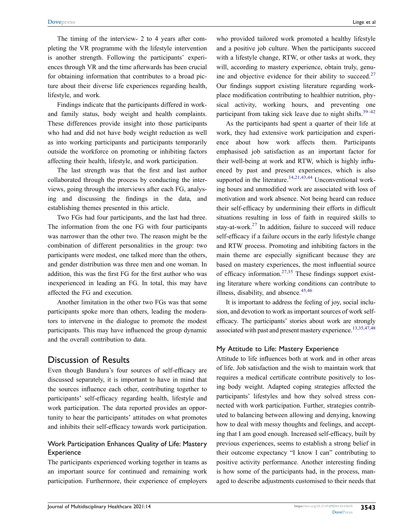The timing of the interview- 2 to 4 years after completing the VR programme with the lifestyle intervention is another strength. Following the participants' experiences through VR and the time afterwards has been crucial for obtaining information that contributes to a broad picture about their diverse life experiences regarding health, lifestyle, and work.

Findings indicate that the participants differed in workand family status, body weight and health complaints. These differences provide insight into those participants who had and did not have body weight reduction as well as into working participants and participants temporarily outside the workforce on promoting or inhibiting factors affecting their health, lifestyle, and work participation.

The last strength was that the first and last author collaborated through the process by conducting the interviews, going through the interviews after each FG, analysing and discussing the findings in the data, and establishing themes presented in this article.

Two FGs had four participants, and the last had three. The information from the one FG with four participants was narrower than the other two. The reason might be the combination of different personalities in the group: two participants were modest, one talked more than the others, and gender distribution was three men and one woman. In addition, this was the first FG for the first author who was inexperienced in leading an FG. In total, this may have affected the FG and execution.

Another limitation in the other two FGs was that some participants spoke more than others, leading the moderators to intervene in the dialogue to promote the modest participants. This may have influenced the group dynamic and the overall contribution to data.

#### Discussion of Results

Even though Bandura's four sources of self-efficacy are discussed separately, it is important to have in mind that the sources influence each other, contributing together to participants' self-efficacy regarding health, lifestyle and work participation. The data reported provides an opportunity to hear the participants' attitudes on what promotes and inhibits their self-efficacy towards work participation.

#### Work Participation Enhances Quality of Life: Mastery **Experience**

The participants experienced working together in teams as an important source for continued and remaining work participation. Furthermore, their experience of employers who provided tailored work promoted a healthy lifestyle and a positive job culture. When the participants succeed with a lifestyle change, RTW, or other tasks at work, they will, according to mastery experience, obtain truly, genu-ine and objective evidence for their ability to succeed.<sup>[27](#page-14-9)</sup> Our findings support existing literature regarding workplace modification contributing to healthier nutrition, physical activity, working hours, and preventing one participant from taking sick leave due to night shifts.<sup>[39–](#page-14-20)[42](#page-14-21)</sup>

<span id="page-10-1"></span><span id="page-10-0"></span>As the participants had spent a quarter of their life at work, they had extensive work participation and experience about how work affects them. Participants emphasised job satisfaction as an important factor for their well-being at work and RTW, which is highly influenced by past and present experiences, which is also supported in the literature.<sup>[14](#page-13-12)[,21,](#page-14-3)[43](#page-14-22),44</sup> Unconventional working hours and unmodified work are associated with loss of motivation and work absence. Not being heard can reduce their self-efficacy by undermining their efforts in difficult situations resulting in loss of faith in required skills to stay-at-work. $27$  In addition, failure to succeed will reduce self-efficacy if a failure occurs in the early lifestyle change and RTW process. Promoting and inhibiting factors in the main theme are especially significant because they are based on mastery experiences, the most influential source of efficacy information.<sup>[27](#page-14-9),35</sup> These findings support existing literature where working conditions can contribute to illness, disability, and absence. $45,46$  $45,46$ 

<span id="page-10-2"></span>It is important to address the feeling of joy, social inclusion, and devotion to work as important sources of work selfefficacy. The participants' stories about work are strongly associated with past and present mastery experience.<sup>[13](#page-13-11),[35](#page-14-16)[,47](#page-14-26)[,48](#page-14-27)</sup>

#### <span id="page-10-3"></span>My Attitude to Life: Mastery Experience

Attitude to life influences both at work and in other areas of life. Job satisfaction and the wish to maintain work that requires a medical certificate contribute positively to losing body weight. Adapted coping strategies affected the participants' lifestyles and how they solved stress connected with work participation. Further, strategies contributed to balancing between allowing and denying, knowing how to deal with messy thoughts and feelings, and accepting that I am good enough. Increased self-efficacy, built by previous experiences, seems to establish a strong belief in their outcome expectancy "I know I can" contributing to positive activity performance. Another interesting finding is how some of the participants had, in the process, managed to describe adjustments customised to their needs that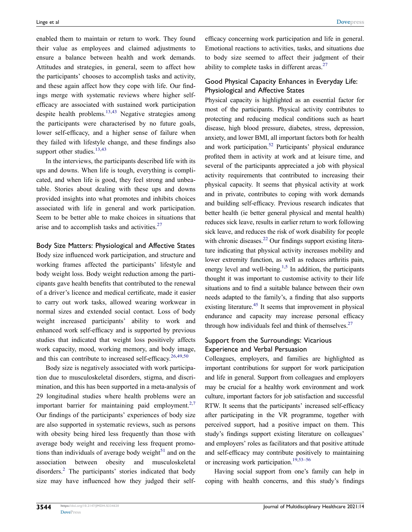enabled them to maintain or return to work. They found their value as employees and claimed adjustments to ensure a balance between health and work demands. Attitudes and strategies, in general, seem to affect how the participants' chooses to accomplish tasks and activity, and these again affect how they cope with life. Our findings merge with systematic reviews where higher selfefficacy are associated with sustained work participation despite health problems. $13,43$  Negative strategies among the participants were characterised by no future goals, lower self-efficacy, and a higher sense of failure when they failed with lifestyle change, and these findings also support other studies.<sup>13,[43](#page-14-22)</sup>

In the interviews, the participants described life with its ups and downs. When life is tough, everything is complicated, and when life is good, they feel strong and unbeatable. Stories about dealing with these ups and downs provided insights into what promotes and inhibits choices associated with life in general and work participation. Seem to be better able to make choices in situations that arise and to accomplish tasks and activities.<sup>[27](#page-14-9)</sup>

#### Body Size Matters: Physiological and Affective States

Body size influenced work participation, and structure and working frames affected the participants' lifestyle and body weight loss. Body weight reduction among the participants gave health benefits that contributed to the renewal of a driver's licence and medical certificate, made it easier to carry out work tasks, allowed wearing workwear in normal sizes and extended social contact. Loss of body weight increased participants' ability to work and enhanced work self-efficacy and is supported by previous studies that indicated that weight loss positively affects work capacity, mood, working memory, and body image, and this can contribute to increased self-efficacy.<sup>[26](#page-14-8)[,49,](#page-14-28)[50](#page-14-29)</sup>

<span id="page-11-2"></span><span id="page-11-1"></span>Body size is negatively associated with work participation due to musculoskeletal disorders, stigma, and discrimination, and this has been supported in a meta-analysis of 29 longitudinal studies where health problems were an important barrier for maintaining paid employment.<sup>[2](#page-13-1),7</sup> Our findings of the participants' experiences of body size are also supported in systematic reviews, such as persons with obesity being hired less frequently than those with average body weight and receiving less frequent promotions than individuals of average body weight $51$  and on the association between obesity and musculoskeletal disorders[.2](#page-13-1) The participants' stories indicated that body size may have influenced how they judged their selfefficacy concerning work participation and life in general. Emotional reactions to activities, tasks, and situations due to body size seemed to affect their judgment of their ability to complete tasks in different areas.<sup>[27](#page-14-9)</sup>

#### Good Physical Capacity Enhances in Everyday Life: Physiological and Affective States

<span id="page-11-3"></span>Physical capacity is highlighted as an essential factor for most of the participants. Physical activity contributes to protecting and reducing medical conditions such as heart disease, high blood pressure, diabetes, stress, depression, anxiety, and lower BMI, all important factors both for health and work participation[.52](#page-14-31) Participants' physical endurance profited them in activity at work and at leisure time, and several of the participants appreciated a job with physical activity requirements that contributed to increasing their physical capacity. It seems that physical activity at work and in private, contributes to coping with work demands and building self-efficacy. Previous research indicates that better health (ie better general physical and mental health) reduces sick leave, results in earlier return to work following sick leave, and reduces the risk of work disability for people with chronic diseases. $22$  Our findings support existing literature indicating that physical activity increases mobility and lower extremity function, as well as reduces arthritis pain, energy level and well-being.<sup>[1](#page-13-0),5</sup> In addition, the participants thought it was important to customise activity to their life situations and to find a suitable balance between their own needs adapted to the family's, a finding that also supports existing literature.<sup>45</sup> It seems that improvement in physical endurance and capacity may increase personal efficacy through how individuals feel and think of themselves. $27$ 

#### <span id="page-11-0"></span>Support from the Surroundings: Vicarious Experience and Verbal Persuasion

Colleagues, employers, and families are highlighted as important contributions for support for work participation and life in general. Support from colleagues and employers may be crucial for a healthy work environment and work culture, important factors for job satisfaction and successful RTW. It seems that the participants' increased self-efficacy after participating in the VR programme, together with perceived support, had a positive impact on them. This study's findings support existing literature on colleagues' and employers' roles as facilitators and that positive attitude and self-efficacy may contribute positively to maintaining or increasing work participation.<sup>[19,](#page-14-1)[53–](#page-14-32)[56](#page-15-0)</sup>

<span id="page-11-4"></span>Having social support from one's family can help in coping with health concerns, and this study's findings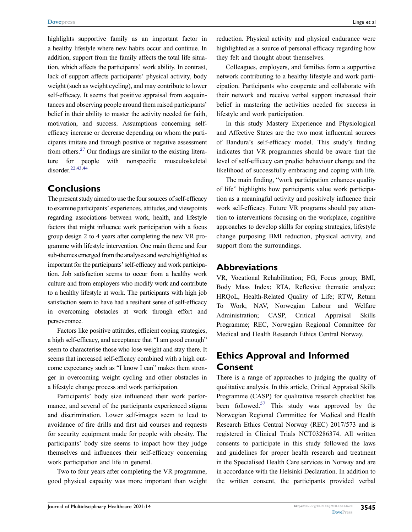highlights supportive family as an important factor in a healthy lifestyle where new habits occur and continue. In addition, support from the family affects the total life situation, which affects the participants' work ability. In contrast, lack of support affects participants' physical activity, body weight (such as weight cycling), and may contribute to lower self-efficacy. It seems that positive appraisal from acquaintances and observing people around them raised participants' belief in their ability to master the activity needed for faith, motivation, and success. Assumptions concerning selfefficacy increase or decrease depending on whom the participants imitate and through positive or negative assessment from others.<sup>27</sup> Our findings are similar to the existing literature for people with nonspecific musculoskeletal disorder.[22](#page-14-4)[,43](#page-14-22)[,44](#page-14-23)

#### **Conclusions**

The present study aimed to use the four sources of self-efficacy to examine participants' experiences, attitudes, and viewpoints regarding associations between work, health, and lifestyle factors that might influence work participation with a focus group design 2 to 4 years after completing the new VR programme with lifestyle intervention. One main theme and four sub-themes emerged from the analyses and were highlighted as important for the participants' self-efficacy and work participation. Job satisfaction seems to occur from a healthy work culture and from employers who modify work and contribute to a healthy lifestyle at work. The participants with high job satisfaction seem to have had a resilient sense of self-efficacy in overcoming obstacles at work through effort and perseverance.

Factors like positive attitudes, efficient coping strategies, a high self-efficacy, and acceptance that "I am good enough" seem to characterise those who lose weight and stay there. It seems that increased self-efficacy combined with a high outcome expectancy such as "I know I can" makes them stronger in overcoming weight cycling and other obstacles in a lifestyle change process and work participation.

Participants' body size influenced their work performance, and several of the participants experienced stigma and discrimination. Lower self-images seem to lead to avoidance of fire drills and first aid courses and requests for security equipment made for people with obesity. The participants' body size seems to impact how they judge themselves and influences their self-efficacy concerning work participation and life in general.

Two to four years after completing the VR programme, good physical capacity was more important than weight reduction. Physical activity and physical endurance were highlighted as a source of personal efficacy regarding how they felt and thought about themselves.

Colleagues, employers, and families form a supportive network contributing to a healthy lifestyle and work participation. Participants who cooperate and collaborate with their network and receive verbal support increased their belief in mastering the activities needed for success in lifestyle and work participation.

In this study Mastery Experience and Physiological and Affective States are the two most influential sources of Bandura's self-efficacy model. This study's finding indicates that VR programmes should be aware that the level of self-efficacy can predict behaviour change and the likelihood of successfully embracing and coping with life.

The main finding, "work participation enhances quality of life" highlights how participants value work participation as a meaningful activity and positively influence their work self-efficacy. Future VR programs should pay attention to interventions focusing on the workplace, cognitive approaches to develop skills for coping strategies, lifestyle change purposing BMI reduction, physical activity, and support from the surroundings.

#### **Abbreviations**

VR, Vocational Rehabilitation; FG, Focus group; BMI, Body Mass Index; RTA, Reflexive thematic analyze; HRQoL, Health-Related Quality of Life; RTW, Return To Work; NAV, Norwegian Labour and Welfare Administration; CASP, Critical Appraisal Skills Programme; REC, Norwegian Regional Committee for Medical and Health Research Ethics Central Norway.

### **Ethics Approval and Informed Consent**

There is a range of approaches to judging the quality of qualitative analysis. In this article, Critical Appraisal Skills Programme (CASP) for qualitative research checklist has been followed. $57$  This study was approved by the Norwegian Regional Committee for Medical and Health Research Ethics Central Norway (REC) 2017/573 and is registered in Clinical Trials NCT03286374. All written consents to participate in this study followed the laws and guidelines for proper health research and treatment in the Specialised Health Care services in Norway and are in accordance with the Helsinki Declaration. In addition to the written consent, the participants provided verbal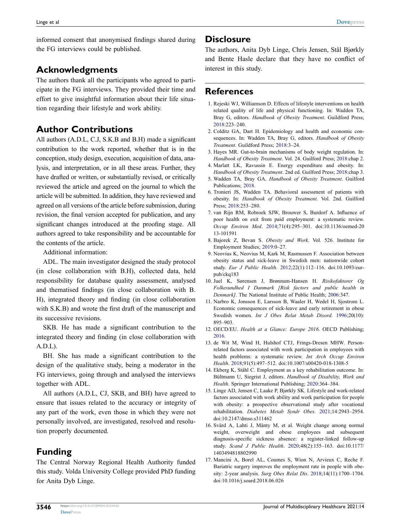informed consent that anonymised findings shared during the FG interviews could be published.

### **Acknowledgments**

The authors thank all the participants who agreed to participate in the FG interviews. They provided their time and effort to give insightful information about their life situation regarding their lifestyle and work ability.

### **Author Contributions**

All authors (A.D.L, C.J, S.K.B and B.H) made a significant contribution to the work reported, whether that is in the conception, study design, execution, acquisition of data, analysis, and interpretation, or in all these areas. Further, they have drafted or written, or substantially revised, or critically reviewed the article and agreed on the journal to which the article will be submitted. In addition, they have reviewed and agreed on all versions of the article before submission, during revision, the final version accepted for publication, and any significant changes introduced at the proofing stage. All authors agreed to take responsibility and be accountable for the contents of the article.

Additional information:

ADL. The main investigator designed the study protocol (in close collaboration with B.H), collected data, held responsibility for database quality assessment, analysed and thematised findings (in close collaboration with B. H), integrated theory and finding (in close collaboration with S.K.B) and wrote the first draft of the manuscript and its successive revisions.

SKB. He has made a significant contribution to the integrated theory and finding (in close collaboration with A.D.L).

BH. She has made a significant contribution to the design of the qualitative study, being a moderator in the FG interviews, going through and analysed the interviews together with ADL.

All authors (A.D.L, CJ, SKB, and BH) have agreed to ensure that issues related to the accuracy or integrity of any part of the work, even those in which they were not personally involved, are investigated, resolved and resolution properly documented.

## **Funding**

The Central Norway Regional Health Authority funded this study. Volda University College provided PhD funding for Anita Dyb Linge.

#### **Disclosure**

The authors, Anita Dyb Linge, Chris Jensen, Stål Bjørkly and Bente Hasle declare that they have no conflict of interest in this study.

### **References**

- <span id="page-13-0"></span>1. Rejeski WJ, Williamson D. Effects of lifestyle interventions on health related quality of life and physical functioning. In: Wadden TA, Bray G, editors. *Handbook of Obesity Treatment*. Guildford Press; [2018](#page-0-4):223–240.
- <span id="page-13-1"></span>2. Colditz GA, Dart H. Epidemiology and health and economic consequences. In: Wadden TA, Bray G, editors. *Handbook of Obesity Treatment*. Guildford Press; [2018](#page-0-5):3–24.
- <span id="page-13-2"></span>3. Hayes MR. Gut-to-brain mechanisms of body weight regulation. In: *Handbook of Obesity Treatment*. Vol. 24. Guilford Press; [2018](#page-1-1):chap 2.
- 4. Marlatt LK, Ravussin E. Energy expenditure and obesity. In: *Handbook of Obesity Treatment*. 2nd ed. Guilford Press; 2018:chap 3.
- <span id="page-13-3"></span>5. Wadden TA, Bray GA. *Handbook of Obesity Treatment*. Guilford Publications; [2018.](#page-11-0)
- <span id="page-13-4"></span>6. Tronieri JS, Wadden TA. Behavioral assessment of patients with obesity. In: *Handbook of Obesity Treatment*. Vol. 2nd. Guilford Press; [2018](#page-1-2):253–280.
- <span id="page-13-5"></span>7. van Rijn RM, Robroek SJW, Brouwer S, Burdorf A. Influence of poor health on exit from paid employment: a systematic review. *Occup Environ Med*. [2014;](#page-1-2)71(4):295–301. doi:[10.1136/oemed-20](https://doi.org/10.1136/oemed-2013-101591) [13-101591](https://doi.org/10.1136/oemed-2013-101591)
- <span id="page-13-6"></span>8. Bajorek Z, Bevan S. *Obesity and Work*. Vol. 526. Institute for Employment Studies; [2019:](#page-1-3)0–27.
- <span id="page-13-7"></span>9. Neovius K, Neovius M, Kark M, Rasmussen F. Association between obesity status and sick-leave in Swedish men: nationwide cohort study. *Eur J Public Health*. [2012;](#page-1-4)22(1):112–116. doi:[10.1093/eur](https://doi.org/10.1093/eurpub/ckq183)[pub/ckq183](https://doi.org/10.1093/eurpub/ckq183)
- <span id="page-13-8"></span>10. Juel K, Sørensen J, Brønnum-Hansen H. *Risikofaktorer Og Folkesundhed I Danmark [Risk factors and public health in Denmark]*. The National Institute of Public Health; [2006:](#page-1-5)347.
- <span id="page-13-9"></span>11. Narbro K, Jonsson E, Larsson B, Waaler H, Wedel H, Sjostrom L. Economic consequences of sick-leave and early retirement in obese Swedish women. *Int J Obes Relat Metab Disord*. [1996;](#page-1-6)20(10): 895–903.
- <span id="page-13-10"></span>12. OECD/EU. *Health at a Glance: Europe 2016*. OECD Publishing; [2016](#page-1-7).
- <span id="page-13-11"></span>13. de Wit M, Wind H, Hulshof CTJ, Frings-Dresen MHW. Personrelated factors associated with work participation in employees with health problems: a systematic review. *Int Arch Occup Environ Health*. [2018;](#page-1-8)91(5):497–512. doi:[10.1007/s00420-018-1308-5](https://doi.org/10.1007/s00420-018-1308-5)
- <span id="page-13-12"></span>14. Ekberg K, Ståhl C. Employment as a key rehabilitation outcome. In: Bültmann U, Siegrist J, editors. *Handbook of Disability, Work and Health*. Springer International Publishing; [2020:](#page-1-9)364–384.
- <span id="page-13-13"></span>15. Linge AD, Jensen C, Laake P, Bjørkly SK. Lifestyle and work-related factors associated with work ability and work participation for people with obesity: a prospective observational study after vocational rehabilitation. *Diabetes Metab Syndr Obes*. [2021;](#page-1-10)14:2943–2954. doi:[10.2147/dmso.s311462](https://doi.org/10.2147/dmso.s311462)
- 16. Svärd A, Lahti J, Mänty M, et al. Weight change among normal weight, overweight and obese employees and subsequent diagnosis-specific sickness absence: a register-linked follow-up study. *Scand J Public Health*. 2020;48(2):155–163. doi:[10.1177/](https://doi.org/10.1177/1403494818802990) [1403494818802990](https://doi.org/10.1177/1403494818802990)
- <span id="page-13-14"></span>17. Mancini A, Borel AL, Coumes S, Wion N, Arvieux C, Reche F. Bariatric surgery improves the employment rate in people with obesity: 2-year analysis. *Surg Obes Relat Dis*. 2018;14(11):1700–1704. doi:[10.1016/j.soard.2018.06.026](https://doi.org/10.1016/j.soard.2018.06.026)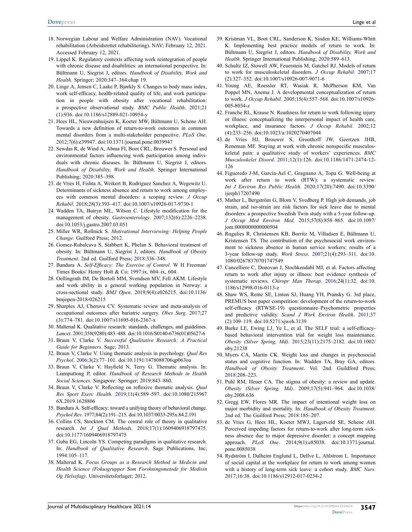- <span id="page-14-0"></span>18. Norwegian Labour and Welfare Administration (NAV). Vocational rehabilitation (Arbeidsrettet rehabilitering). NAV; February 12, [2021.](#page-1-11) Accessed February 12, 2021.
- <span id="page-14-1"></span>19. Lippel K. Regulatory contexts affecting work reintegration of people with chronic disease and disabilities: an international perspective. In: Bültmann U, Siegrist J, editors. *Handbook of Disability, Work and Health*. Springer; [2020:](#page-1-12)347–364:chap 19.
- <span id="page-14-2"></span>20. Linge A, Jensen C, Laake P, Bjørkly S. Changes to body mass index, work self-efficacy, health-related quality of life, and work participation in people with obesity after vocational rehabilitation: a prospective observational study. *BMC Public Health*. [2021](#page-1-9);21 (1):936. doi:[10.1186/s12889-021-10954-y](https://doi.org/10.1186/s12889-021-10954-y)
- <span id="page-14-3"></span>21. Hees HL, Nieuwenhuijsen K, Koeter MW, Bültmann U, Schene AH. Towards a new definition of return-to-work outcomes in common mental disorders from a multi-stakeholder perspective. *PLoS One*. [2012;](#page-1-13)7(6):e39947. doi:[10.1371/journal.pone.0039947](https://doi.org/10.1371/journal.pone.0039947)
- <span id="page-14-4"></span>22. Sewdas R, de Wind A, Abma FI, Boot CRL, Brouwer S. Personal and environmental factors influencing work participation among individuals with chronic diseases. In: Bültmann U, Siegrist J, editors. *Handbook of Disability, Work and Health*. Springer International Publishing; [2020:](#page-1-10)385–398.
- <span id="page-14-5"></span>23. de Vries H, Fishta A, Weikert B, Rodriguez Sanchez A, Wegewitz U. Determinants of sickness absence and return to work among employees with common mental disorders: a scoping review. *J Occup Rehabil*. [2018](#page-1-10);28(3):393–417. doi:[10.1007/s10926-017-9730-1](https://doi.org/10.1007/s10926-017-9730-1)
- <span id="page-14-6"></span>24. Wadden TA, Butryn ML, Wilson C. Lifestyle modification for the management of obesity. *Gastroenterology*. [2007;](#page-1-14)132(6):2226–2238. doi:[10.1053/j.gastro.2007.03.051](https://doi.org/10.1053/j.gastro.2007.03.051)
- <span id="page-14-7"></span>25. Miller WR, Rollnick S. *Motivational Interviewing: Helping People Change*. Guilford Press; [2012](#page-2-0).
- <span id="page-14-8"></span>26. Gomez-Rubalcava S, Stabbert K, Phelan S. Behavioral treatment of obesity. In: Bültmann U, Siegrist J, editors. *Handbook of Obesity Treatment*. 2nd ed. Guilford Press; [2018](#page-2-1):336–348.
- <span id="page-14-9"></span>27. Bandura A. *Self-Efficacy: The Exercise of Control*. W H Freeman/ Times Books/ Henry Holt & Co; [1997:](#page-2-2)ix, 604–ix, 604.
- <span id="page-14-10"></span>28. Oellingrath IM, De Bortoli MM, Svendsen MV, Fell AKM. Lifestyle and work ability in a general working population in Norway: a cross-sectional study. *BMJ Open*. [2019](#page-2-3);9(4):e026215. doi:[10.1136/](https://doi.org/10.1136/bmjopen-2018-026215)  [bmjopen-2018-026215](https://doi.org/10.1136/bmjopen-2018-026215)
- <span id="page-14-11"></span>29. Sharples AJ, Cheruvu CV. Systematic review and meta-analysis of occupational outcomes after bariatric surgery. *Obes Surg*. [2017](#page-2-4);27 (3):774–781. doi:[10.1007/s11695-016-2367-x](https://doi.org/10.1007/s11695-016-2367-x)
- <span id="page-14-12"></span>30. Malterud K. Qualitative research: standards, challenges, and guidelines. *Lancet*. [2001;](#page-3-1)358(9280):483–488. doi:[10.1016/S0140-6736\(01\)05627-6](https://doi.org/10.1016/S0140-6736(01)05627-6)
- <span id="page-14-13"></span>31. Braun V, Clarke V. *Successful Qualitative Research: A Practical Guide for Beginners*. Sage; [2013](#page-3-2).
- 32. Braun V, Clarke V. Using thematic analysis in psychology. *Qual Res Psychol*. 2006;3(2):77–101. doi:[10.1191/1478088706qp063oa](https://doi.org/10.1191/1478088706qp063oa)
- <span id="page-14-14"></span>33. Braun V, Clarke V, Hayfield N, Terry G. Thematic analysis. In: Liamputtong P, editor. *Handbook of Research Methods in Health Social Sciences*. Singapore: Springer; [2019](#page-4-1):843–860.
- <span id="page-14-15"></span>34. Braun V, Clarke V. Reflecting on reflexive thematic analysis. *Qual Res Sport Exerc Health*. [2019](#page-4-2);11(4):589–597. doi:[10.1080/215967](https://doi.org/10.1080/2159676X.2019.1628806)  [6X.2019.1628806](https://doi.org/10.1080/2159676X.2019.1628806)
- <span id="page-14-16"></span>35. Bandura A. Self-efficacy: toward a unifying theory of behavioral change. *Psychol Rev*. [1977](#page-4-3);84(2):191–215. doi:[10.1037/0033-295x.84.2.191](https://doi.org/10.1037/0033-295x.84.2.191)
- <span id="page-14-17"></span>36. Collins CS, Stockton CM. The central role of theory in qualitative research. *Int J Qual Methods*. [2018;](#page-4-4)17(1):1609406918797475. doi:[10.1177/1609406918797475](https://doi.org/10.1177/1609406918797475)
- <span id="page-14-18"></span>37. Guba EG, Lincoln YS. Competing paradigms in qualitative research. In: *Handbook of Qualitative Research*. Sage Publications, Inc; [1994:](#page-4-5)105–117.
- <span id="page-14-19"></span>38. Malterud K. *Focus Groups as a Research Method in Medicin and Health Science (Fokusgrupper Som Forskningsmetode for Medisin Og Helsefag)*. Universitetsforlaget; [2012](#page-9-0).
- <span id="page-14-20"></span>39. Kristman VL, Boot CRL, Sanderson K, Sinden KE, Williams-Whitt K. Implementing best practice models of return to work. In: Bültmann U, Siegrist J, editors. *Handbook of Disability, Work and Health*. Springer International Publishing; [2020:](#page-10-0)589–613.
- 40. Schultz IZ, Stowell AW, Feuerstein M, Gatchel RJ. Models of return to work for musculoskeletal disorders. *J Occup Rehabil*. 2007;17 (2):327–352. doi:[10.1007/s10926-007-9071-6](https://doi.org/10.1007/s10926-007-9071-6)
- 41. Young AE, Roessler RT, Wasiak R, McPherson KM, Van Poppel MN, Anema J. A developmental conceptualization of return to work. *J Occup Rehabil*. 2005;15(4):557–568. doi:[10.1007/s10926-](https://doi.org/10.1007/s10926-005-8034-z) [005-8034-z](https://doi.org/10.1007/s10926-005-8034-z)
- <span id="page-14-21"></span>42. Franche RL, Krause N. Readiness for return to work following injury or illness: conceptualizing the interpersonal impact of health care, workplace, and insurance factors. *J Occup Rehabil*. 2002;12 (4):233–256. doi:[10.1023/a:1020270407044](https://doi.org/10.1023/a:1020270407044)
- <span id="page-14-22"></span>43. de Vries HJ, Brouwer S, Groothoff JW, Geertzen JHB, Reneman MF. Staying at work with chronic nonspecific musculoskeletal pain: a qualitative study of workers' experiences. *BMC Musculoskelet Disord*. [2011](#page-10-1);12(1):126. doi:[10.1186/1471-2474-12-](https://doi.org/10.1186/1471-2474-12-126) [126](https://doi.org/10.1186/1471-2474-12-126)
- <span id="page-14-23"></span>44. Figueredo J-M, García-Ael C, Gragnano A, Topa G. Well-being at work after return to work (RTW): a systematic review. *Int J Environ Res Public Health*. [2020;](#page-10-1)17(20):7490. doi:[10.3390/](https://doi.org/10.3390/ijerph17207490) [ijerph17207490](https://doi.org/10.3390/ijerph17207490)
- <span id="page-14-24"></span>45. Mather L, Bergström G, Blom V, Svedberg P. High job demands, job strain, and iso-strain are risk factors for sick leave due to mental disorders: a prospective Swedish Twin study with a 5-year follow-up. *J Occup Med Environ Med*. [2015](#page-10-2);57(8):858–865. doi:[10.1097/](https://doi.org/10.1097/jom.0000000000000504) [jom.0000000000000504](https://doi.org/10.1097/jom.0000000000000504)
- <span id="page-14-25"></span>46. Rugulies R, Christensen KB, Borritz M, Villadsen E, Bültmann U, Kristensen TS. The contribution of the psychosocial work environment to sickness absence in human service workers: results of a 3-year follow-up study. *Work Stress*. [2007](#page-10-2);21(4):293–311. doi:[10.](https://doi.org/10.1080/02678370701747549) [1080/02678370701747549](https://doi.org/10.1080/02678370701747549)
- <span id="page-14-26"></span>47. Cancelliere C, Donovan J, Stochkendahl MJ, et al. Factors affecting return to work after injury or illness: best evidence synthesis of systematic reviews. *Chiropr Man Therap*. [2016;](#page-10-3)24(1):32. doi:[10.](https://doi.org/10.1186/s12998-016-0113-z) [1186/s12998-016-0113-z](https://doi.org/10.1186/s12998-016-0113-z)
- <span id="page-14-27"></span>48. Shaw WS, Reme SE, Linton SJ, Huang YH, Pransky G. 3rd place, PREMUS best paper competition: development of the return-to-work self-efficacy (RTWSE-19) questionnaire–Psychometric properties and predictive validity. *Scand J Work Environ Health*. [2011](#page-10-3);37 (2):109–119. doi:[10.5271/sjweh.3139](https://doi.org/10.5271/sjweh.3139)
- <span id="page-14-28"></span>49. Burke LE, Ewing LJ, Ye L, et al. The SELF trial: a self-efficacybased behavioral intervention trial for weight loss maintenance. *Obesity (Silver Spring, Md)*. [2015](#page-11-1);23(11):2175–2182. doi:[10.1002/](https://doi.org/10.1002/oby.21238) [oby.21238](https://doi.org/10.1002/oby.21238)
- <span id="page-14-29"></span>50. Myers CA, Martin CK. Weight loss and changes in psychosocial status and cognitive function. In: Wadden TA, Bray GA, editors. *Handbook of Obesity Treatment*. Vol. 2nd. Guildford Press; [2018](#page-11-1):208–223.
- <span id="page-14-30"></span>51. Puhl RM, Heuer CA. The stigma of obesity: a review and update. *Obesity (Silver Spring, Md)*. [2009;](#page-11-2)17(5):941–964. doi:[10.1038/](https://doi.org/10.1038/oby.2008.636) [oby.2008.636](https://doi.org/10.1038/oby.2008.636)
- <span id="page-14-31"></span>52. Gregg EW, Flores MR. The impact of intentional weight loss on major morbidity and mortality. In: *Handbook of Obesity Treatment*. 2nd ed. The Guilford Press; [2018](#page-11-3):185–207.
- <span id="page-14-32"></span>53. de Vries G, Hees HL, Koeter MWJ, Lagerveld SE, Schene AH. Perceived impeding factors for return-to-work after long-term sickness absence due to major depressive disorder: a concept mapping approach. *PLoS One*. [2014;](#page-11-4)9(1):e85038. doi:[10.1371/journal.](https://doi.org/10.1371/journal.pone.0085038) [pone.0085038](https://doi.org/10.1371/journal.pone.0085038)
- 54. Rydström I, Dalheim Englund L, Dellve L, Ahlstrom L. Importance of social capital at the workplace for return to work among women with a history of long-term sick leave: a cohort study. *BMC Nurs*. 2017;16:38. doi:[10.1186/s12912-017-0234-2](https://doi.org/10.1186/s12912-017-0234-2)